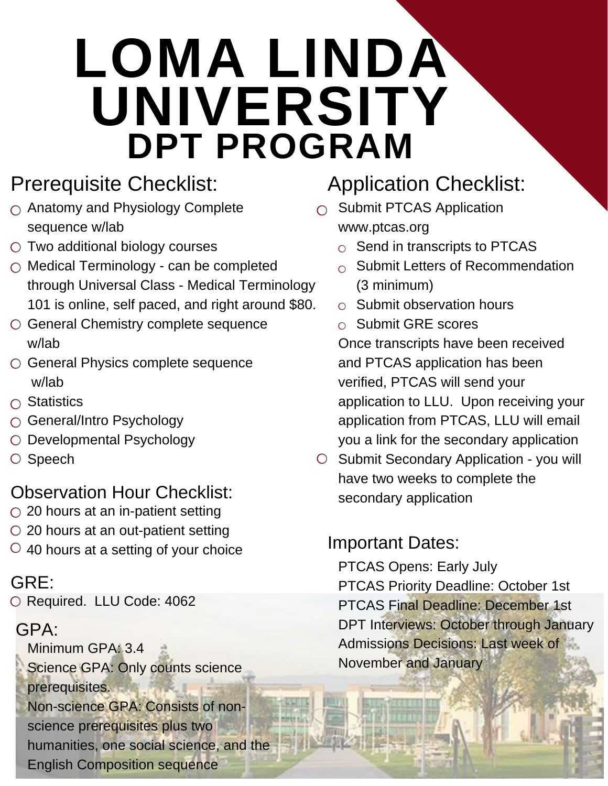# **LOMA LINDA UNIVERSITY DPT PROGRAM**

# Prerequisite Checklist:

- $\bigcirc$  Anatomy and Physiology Complete sequence w/lab
- $\circ$  Two additional biology courses
- $\bigcirc$  Medical Terminology can be completed through Universal Class - Medical Terminology 101 is online, self paced, and right around \$80.
- General Chemistry complete sequence w/lab
- General Physics complete sequence w/lab
- $\bigcap$  Statistics
- General/Intro Psychology
- O Developmental Psychology
- O Speech

#### Observation Hour Checklist:

- $\circ$  20 hours at an in-patient setting
- 20 hours at an out-patient setting
- $\circ$  40 hours at a setting of your choice

#### GRE:

O Required. LLU Code: 4062

#### GPA:

Minimum GPA: 3.4 Science GPA: Only counts science prerequisites. Non-science GPA: Consists of nonscience prerequisites plus two humanities, one social science, and the English Composition sequence

# Application Checklist:

- $\bigcirc$  Submit PTCAS Application www.ptcas.org
	- $\circ$  Send in transcripts to PTCAS
	- $\circ$  Submit Letters of Recommendation (3 minimum)
	- $\circ$  Submit observation hours
	- $\circ$  Submit GRE scores

Once transcripts have been received and PTCAS application has been verified, PTCAS will send your application to LLU. Upon receiving your application from PTCAS, LLU will email you a link for the secondary application

O Submit Secondary Application - you will have two weeks to complete the secondary application

## Important Dates:

PTCAS Opens: Early July PTCAS Priority Deadline: October 1st PTCAS Final Deadline: December 1st DPT Interviews: October through January Admissions Decisions: Last week of November and January